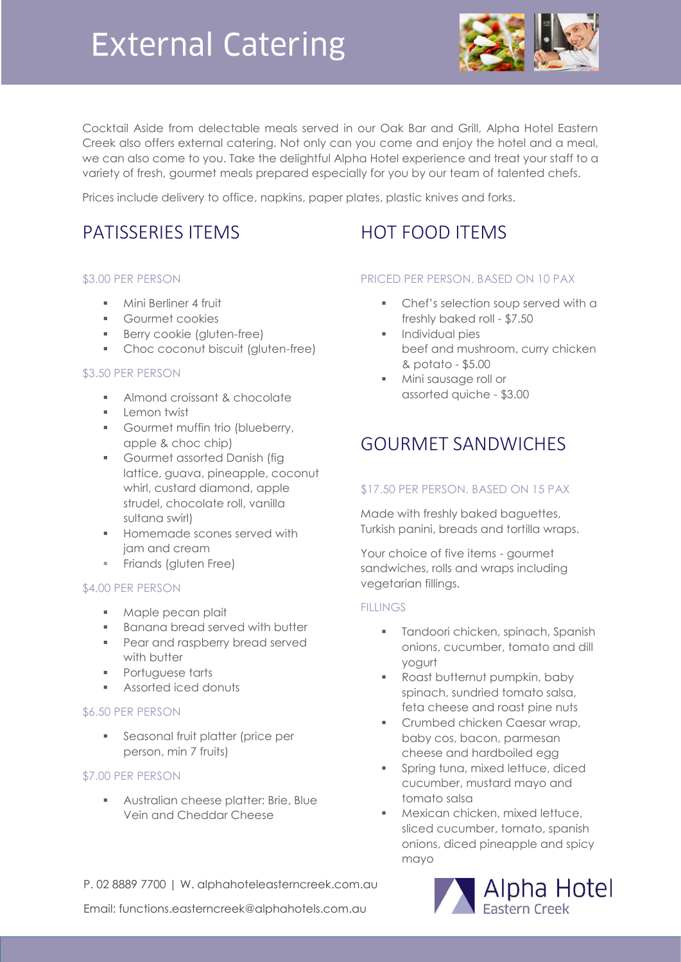

Cocktail Aside from delectable meals served in our Oak Bar and Grill, Alpha Hotel Eastern Creek also offers external catering. Not only can you come and enjoy the hotel and a meal, we can also come to you. Take the delightful Alpha Hotel experience and treat your staff to a variety of fresh, gourmet meals prepared especially for you by our team of talented chefs.

Prices include delivery to office, napkins, paper plates, plastic knives and forks.

## PATISSERIES ITEMS

### \$3.00 PER PERSON

- **Mini Berliner 4 fruit**
- Gourmet cookies
- **Berry cookie (gluten-free)**
- Choc coconut biscuit (gluten-free)

### \$3.50 PER PERSON

- **Almond croissant & chocolate**
- **Lemon twist**
- **Gourmet muffin trio (blueberry,** apple & choc chip)
- **Gourmet assorted Danish (fig.** lattice, guava, pineapple, coconut whirl, custard diamond, apple strudel, chocolate roll, vanilla sultana swirl)
- **Homemade scones served with** jam and cream
- **Friands (gluten Free)**

### \$4.00 PER PERSON

- **Maple pecan plait**
- **Banana bread served with butter**
- **Pear and raspberry bread served** with butter
- **Portuguese tarts**
- **Assorted iced donuts**

### \$6.50 PER PERSON

**Seasonal fruit platter (price per** person, min 7 fruits)

### \$7.00 PER PERSON

**Australian cheese platter: Brie, Blue** Vein and Cheddar Cheese

### HOT FOOD ITEMS

### PRICED PER PERSON. BASED ON 10 PAX

- Chef's selection soup served with a freshly baked roll - \$7.50
- **Individual pies** beef and mushroom, curry chicken & potato - \$5.00
- **Mini sausage roll or** assorted quiche - \$3.00

## GOURMET SANDWICHES

### \$17.50 PER PERSON. BASED ON 15 PAX

Made with freshly baked baguettes, Turkish panini, breads and tortilla wraps.

Your choice of five items - gourmet sandwiches, rolls and wraps including vegetarian fillings.

### **FILLINGS**

- **Tandoori chicken, spinach, Spanish** onions, cucumber, tomato and dill yogurt
- **Roast butternut pumpkin, baby** spinach, sundried tomato salsa, feta cheese and roast pine nuts
- Crumbed chicken Caesar wrap, baby cos, bacon, parmesan cheese and hardboiled egg
- **Spring tuna, mixed lettuce, diced** cucumber, mustard mayo and tomato salsa
- **Mexican chicken, mixed lettuce,** sliced cucumber, tomato, spanish onions, diced pineapple and spicy mayo

P. 02 8889 7700 | W. alphahoteleasterncreek.com.au

Email: functions.easterncreek@alphahotels.com.au

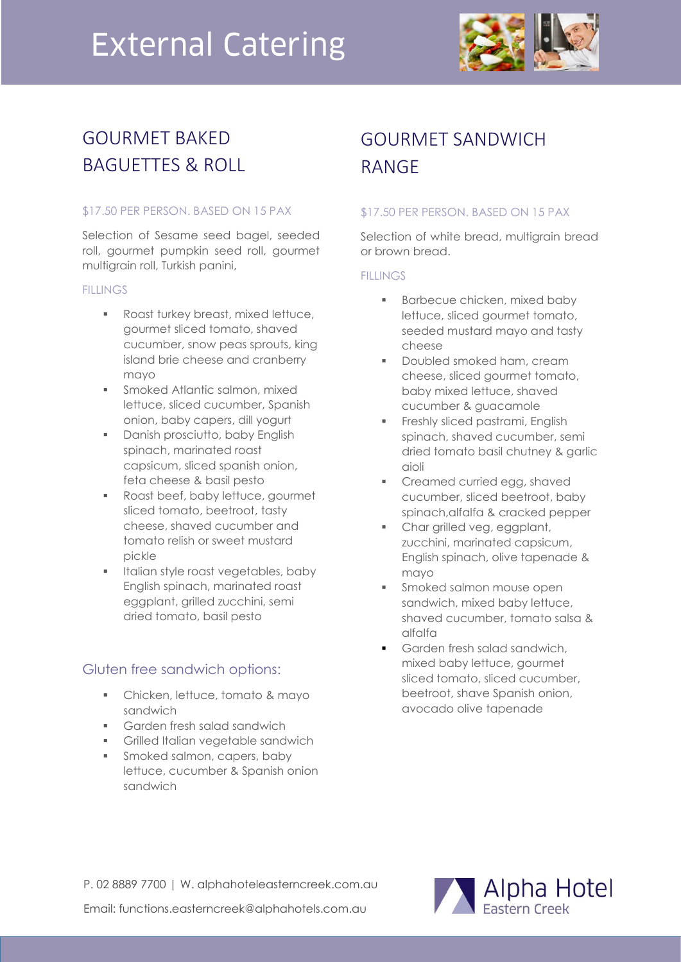

# GOURMET BAKED BAGUETTES & ROLL

### \$17.50 PER PERSON. BASED ON 15 PAX

Selection of Sesame seed bagel, seeded roll, gourmet pumpkin seed roll, gourmet multigrain roll, Turkish panini,

### **FILLINGS**

- **Roast turkey breast, mixed lettuce,** gourmet sliced tomato, shaved cucumber, snow peas sprouts, king island brie cheese and cranberry mayo
- **Smoked Atlantic salmon, mixed** lettuce, sliced cucumber, Spanish onion, baby capers, dill yogurt
- Danish prosciutto, baby English spinach, marinated roast capsicum, sliced spanish onion, feta cheese & basil pesto
- Roast beef, baby lettuce, gourmet sliced tomato, beetroot, tasty cheese, shaved cucumber and tomato relish or sweet mustard pickle
- Italian style roast vegetables, baby English spinach, marinated roast eggplant, grilled zucchini, semi dried tomato, basil pesto

### Gluten free sandwich options:

- **EXEC** Chicken, lettuce, tomato & mayo sandwich
- **Garden fresh salad sandwich**
- **Farms** Grilled Italian vegetable sandwich
- **Smoked salmon, capers, baby** lettuce, cucumber & Spanish onion sandwich

# GOURMET SANDWICH RANGE

### \$17.50 PER PERSON. BASED ON 15 PAX

Selection of white bread, multigrain bread or brown bread.

### **FILLINGS**

- **Barbecue chicken, mixed baby** lettuce, sliced gourmet tomato, seeded mustard mayo and tasty cheese
- Doubled smoked ham, cream cheese, sliced gourmet tomato, baby mixed lettuce, shaved cucumber & guacamole
- **Freshly sliced pastrami, English** spinach, shaved cucumber, semi dried tomato basil chutney & garlic aioli
- Creamed curried egg, shaved cucumber, sliced beetroot, baby spinach,alfalfa & cracked pepper
- Char grilled veg, eggplant, zucchini, marinated capsicum, English spinach, olive tapenade & mayo
- **Smoked salmon mouse open** sandwich, mixed baby lettuce, shaved cucumber, tomato salsa & alfalfa
- Garden fresh salad sandwich, mixed baby lettuce, gourmet sliced tomato, sliced cucumber, beetroot, shave Spanish onion, avocado olive tapenade

P. 02 8889 7700 | W. alphahoteleasterncreek.com.au Email: functions.easterncreek@alphahotels.com.au

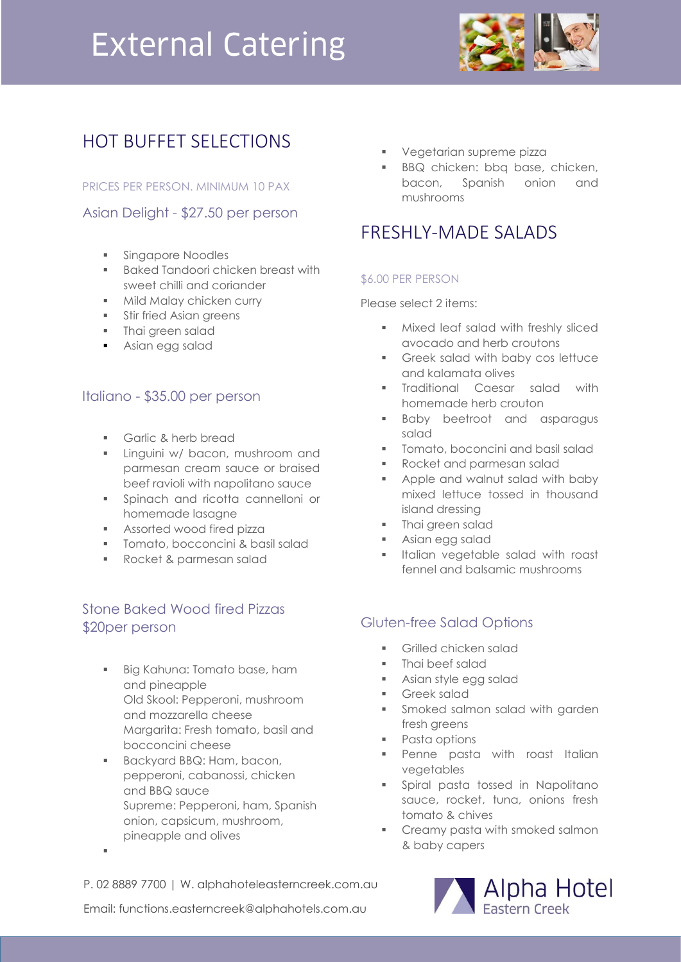

## HOT BUFFET SELECTIONS

PRICES PER PERSON. MINIMUM 10 PAX

### Asian Delight - \$27.50 per person

- **Singapore Noodles**
- **Baked Tandoori chicken breast with** sweet chilli and coriander
- **Mild Malay chicken curry**
- **Stir fried Asian greens**
- Thai green salad
- **Asian egg salad**

### Italiano - \$35.00 per person

- Garlic & herb bread
- **Linguini w/ bacon, mushroom and** parmesan cream sauce or braised beef ravioli with napolitano sauce
- Spinach and ricotta cannelloni or homemade lasagne
- **Assorted wood fired pizza**
- **Tomato, bocconcini & basil salad**
- **Rocket & parmesan salad**

### Stone Baked Wood fired Pizzas \$20per person

- Big Kahuna: Tomato base, ham and pineapple Old Skool: Pepperoni, mushroom and mozzarella cheese Margarita: Fresh tomato, basil and bocconcini cheese
- Backyard BBQ: Ham, bacon, pepperoni, cabanossi, chicken and BBQ sauce Supreme: Pepperoni, ham, Spanish onion, capsicum, mushroom, pineapple and olives

F

- Vegetarian supreme pizza
- **BBQ** chicken: bbq base, chicken, bacon, Spanish onion and mushrooms

### FRESHLY-MADE SALADS

### \$6.00 PER PERSON

Please select 2 items:

- **Mixed leaf salad with freshly sliced** avocado and herb croutons
- **Greek salad with baby cos lettuce** and kalamata olives
- **Traditional Caesar salad with** homemade herb crouton
- **Baby beetroot and asparagus** salad
- **Tomato, boconcini and basil salad**
- **Rocket and parmesan salad**
- **Apple and walnut salad with baby** mixed lettuce tossed in thousand island dressing
- **Thai green salad**
- Asian egg salad
- **Italian vegetable salad with roast** fennel and balsamic mushrooms

### Gluten-free Salad Options

- **Grilled chicken salad**
- Thai beef salad
- Asian style egg salad
- Greek salad
- **Smoked salmon salad with garden** fresh greens
- **Pasta options**
- **Penne pasta with roast Italian** vegetables
- Spiral pasta tossed in Napolitano sauce, rocket, tuna, onions fresh tomato & chives
- **Creamy pasta with smoked salmon** & baby capers



Email: functions.easterncreek@alphahotels.com.au